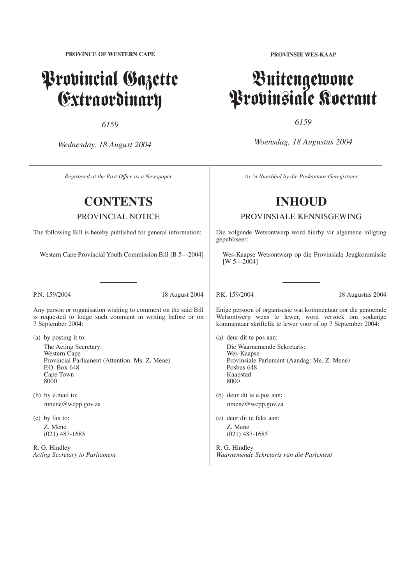**PROVINCE OF WESTERN CAPE**

# Provincial Gazette Extraordinary

*6159*

*Wednesday, 18 August 2004*

*Registered at the Post Offıce as a Newspaper*

# **CONTENTS**

PROVINCIAL NOTICE

The following Bill is hereby published for general information:

Western Cape Provincial Youth Commission Bill [B 5—2004]

P.N. 159/2004 18 August 2004

Any person or organisation wishing to comment on the said Bill is requested to lodge such comment in writing before or on 7 September 2004:

(a) by posting it to: The Acting Secretary: Western Cape Provincial Parliament (Attention: Ms. Z. Mene) P.O. Box 648 Cape Town 8000

(b) by e.mail to: nmene@wcpp.gov.za

(c) by fax to: Z. Mene (021) 487-1685

R. G. Hindley *Acting Secretary to Parliament* **PROVINSIE WES-KAAP**

# Buitengewone Provinsiale Koerant

*6159*

*Woensdag, 18 Augustus 2004*

*As 'n Nuusblad by die Poskantoor Geregistreer*

# **INHOUD**

PROVINSIALE KENNISGEWING

Die volgende Wetsontwerp word hierby vir algemene inligting gepubliseer:

Wes-Kaapse Wetsontwerp op die Provinsiale Jeugkommissie  $[W 5 - 2004]$ 

P.K. 159/2004 18 Augustus 2004

Enige persoon of organisasie wat kommentaar oor die genoemde Wetsontwerp wens te lewer, word versoek om sodanige kommentaar skriftelik te lewer voor of op 7 September 2004:

- (a) deur dit te pos aan: Die Waarnemende Sekretaris: Wes-Kaapse Provinsiale Parlement (Aandag: Me. Z. Mene) Posbus 648 Kaapstad 8000
- (b) deur dit te e.pos aan: nmene@wcpp.gov.za
- (c) deur dit te faks aan: Z. Mene (021) 487-1685

R. G. Hindley *Waarnemende Sekretaris van die Parlement*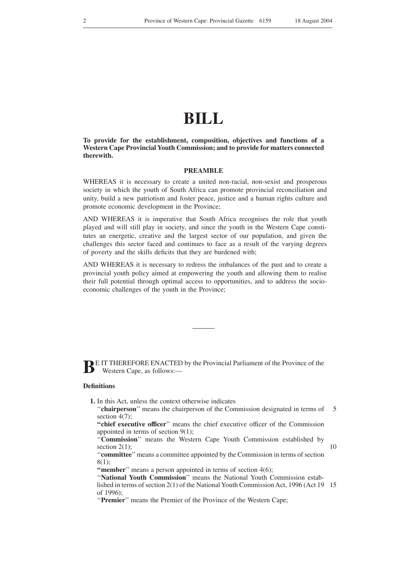# **BILL**

**To provide for the establishment, composition, objectives and functions of a Western Cape Provincial Youth Commission; and to provide for matters connected therewith.**

## **PREAMBLE**

WHEREAS it is necessary to create a united non-racial, non-sexist and prosperous society in which the youth of South Africa can promote provincial reconciliation and unity, build a new patriotism and foster peace, justice and a human rights culture and promote economic development in the Province;

AND WHEREAS it is imperative that South Africa recognises the role that youth played and will still play in society, and since the youth in the Western Cape constitutes an energetic, creative and the largest sector of our population, and given the challenges this sector faced and continues to face as a result of the varying degrees of poverty and the skills deficits that they are burdened with;

AND WHEREAS it is necessary to redress the imbalances of the past and to create a provincial youth policy aimed at empowering the youth and allowing them to realise their full potential through optimal access to opportunities, and to address the socioeconomic challenges of the youth in the Province;

**BE IT THEREFORE ENACTED by the Provincial Parliament of the Province of the Western Cape, as follows** Western Cape, as follows:—

#### **Definitions**

- **1.** In this Act, unless the context otherwise indicates
	- "**chairperson**" means the chairperson of the Commission designated in terms of section  $4(7)$ : 5

**''chief executive officer**'' means the chief executive officer of the Commission appointed in terms of section 9(1);

''**Commission**'' means the Western Cape Youth Commission established by section  $2(1)$ ;

10

''**committee**''means a committee appointed by the Commission in terms of section 8(1);

**"member**" means a person appointed in terms of section 4(6);

"National Youth Commission" means the National Youth Commission established in terms of section 2(1) of the National Youth Commission Act, 1996 (Act 19 15of 1996);

''**Premier**'' means the Premier of the Province of the Western Cape;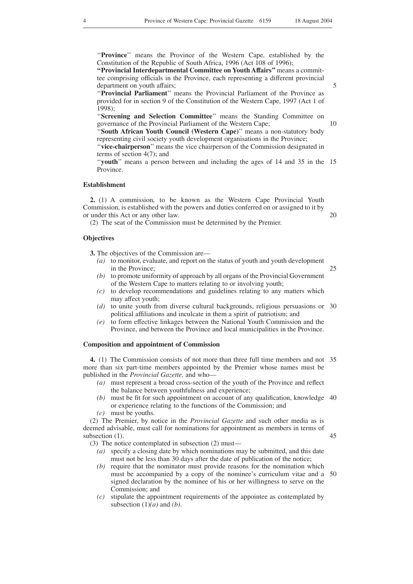''**Province**'' means the Province of the Western Cape, established by the Constitution of the Republic of South Africa, 1996 (Act 108 of 1996);

**''Provincial Interdepartmental Committee on Youth Affairs''**means a committee comprising officials in the Province, each representing a different provincial department on youth affairs;

''**Provincial Parliament**'' means the Provincial Parliament of the Province as provided for in section 9 of the Constitution of the Western Cape, 1997 (Act 1 of 1998);

''**Screening and Selection Committee**'' means the Standing Committee on governance of the Provincial Parliament of the Western Cape;

''**South African Youth Council (Western Cape)**'' means a non-statutory body representing civil society youth development organisations in the Province; ''**vice-chairperson**'' means the vice chairperson of the Commission designated in terms of section 4(7); and

"youth" means a person between and including the ages of 14 and 35 in the 15 Province.

#### **Establishment**

**2.** (1) A commission, to be known as the Western Cape Provincial Youth Commission, is established with the powers and duties conferred on or assigned to it by or under this Act or any other law.

(2) The seat of the Commission must be determined by the Premier.

## **Objectives**

**3.** The objectives of the Commission are—

- *(a)* to monitor, evaluate, and report on the status of youth and youth development in the Province;
- *(b)* to promote uniformity of approach by all organs of the Provincial Government of the Western Cape to matters relating to or involving youth;
- *(c)* to develop recommendations and guidelines relating to any matters which may affect youth;
- *(d)* to unite youth from diverse cultural backgrounds, religious persuasions or 30 political affiliations and inculcate in them a spirit of patriotism; and
- *(e)* to form effective linkages between the National Youth Commission and the Province, and between the Province and local municipalities in the Province.

# **Composition and appointment of Commission**

**4.** (1) The Commission consists of not more than three full time members and not 35 more than six part-time members appointed by the Premier whose names must be published in the *Provincial Gazette,* and who—

- *(a)* must represent a broad cross-section of the youth of the Province and reflect the balance between youthfulness and experience;
- *(b)* must be fit for such appointment on account of any qualification, knowledge 40 or experience relating to the functions of the Commission; and

*(c)* must be youths.

(2) The Premier, by notice in the *Provincial Gazette* and such other media as is deemed advisable, must call for nominations for appointment as members in terms of subsection  $(1)$ .

(3) The notice contemplated in subsection (2) must—

- *(a)* specify a closing date by which nominations may be submitted, and this date must not be less than 30 days after the date of publication of the notice;
- *(b)* require that the nominator must provide reasons for the nomination which must be accompanied by a copy of the nominee's curriculum vitae and a 50signed declaration by the nominee of his or her willingness to serve on the Commission; and
- *(c)* stipulate the appointment requirements of the appointee as contemplated by subsection  $(1)(a)$  and  $(b)$ .

5

20

# 25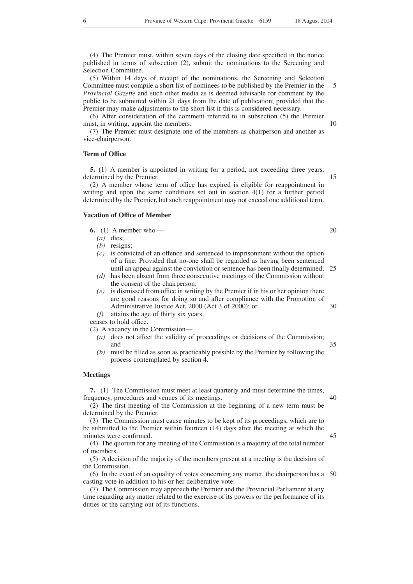(4) The Premier must, within seven days of the closing date specified in the notice published in terms of subsection (2), submit the nominations to the Screening and Selection Committee.

(5) Within 14 days of receipt of the nominations, the Screening and Selection Committee must compile a short list of nominees to be published by the Premier in the *Provincial Gazette* and such other media as is deemed advisable for comment by the public to be submitted within 21 days from the date of publication; provided that the Premier may make adjustments to the short list if this is considered necessary. 5

(6) After consideration of the comment referred to in subsection (5) the Premier must, in writing, appoint the members.

(7) The Premier must designate one of the members as chairperson and another as vice-chairperson.

#### **Term of Office**

**5.** (1) A member is appointed in writing for a period, not exceeding three years, determined by the Premier.

(2) A member whose term of office has expired is eligible for reappointment in writing and upon the same conditions set out in section 4(1) for a further period determined by the Premier, but such reappointment may not exceed one additional term.

#### **Vacation of Office of Member**

**6.** (1) A member who —

- *(a)* dies;
- *(b)* resigns;
- *(c)* is convicted of an offence and sentenced to imprisonment without the option of a fine: Provided that no-one shall be regarded as having been sentenced until an appeal against the conviction or sentence has been finally determined; 25
- *(d)* has been absent from three consecutive meetings of the Commission without the consent of the chairperson;
- *(e)* is dismissed from office in writing by the Premier if in his or her opinion there are good reasons for doing so and after compliance with the Promotion of Administrative Justice Act, 2000 (Act 3 of 2000); or 30
- *(f)* attains the age of thirty six years,

ceases to hold office.

(2) A vacancy in the Commission—

- *(a)* does not affect the validity of proceedings or decisions of the Commission; and
- *(b)* must be filled as soon as practicably possible by the Premier by following the process contemplated by section 4.

#### **Meetings**

**7.** (1) The Commission must meet at least quarterly and must determine the times, frequency, procedures and venues of its meetings.

(2) The first meeting of the Commission at the beginning of a new term must be determined by the Premier.

(3) The Commission must cause minutes to be kept of its proceedings, which are to be submitted to the Premier within fourteen (14) days after the meeting at which the minutes were confirmed.

(4) The quorum for any meeting of the Commission is a majority of the total number of members.

(5) A decision of the majority of the members present at a meeting is the decision of the Commission.

(6) In the event of an equality of votes concerning any matter, the chairperson has a 50casting vote in addition to his or her deliberative vote.

(7) The Commission may approach the Premier and the Provincial Parliament at any time regarding any matter related to the exercise of its powers or the performance of its duties or the carrying out of its functions.

20

15

10

35

45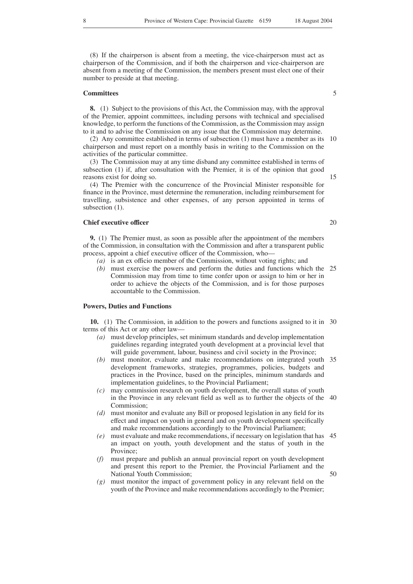(8) If the chairperson is absent from a meeting, the vice-chairperson must act as chairperson of the Commission, and if both the chairperson and vice-chairperson are absent from a meeting of the Commission, the members present must elect one of their number to preside at that meeting.

#### **Committees**

**8.** (1) Subject to the provisions of this Act, the Commission may, with the approval of the Premier, appoint committees, including persons with technical and specialised knowledge, to perform the functions of the Commission, as the Commission may assign to it and to advise the Commission on any issue that the Commission may determine.

(2) Any committee established in terms of subsection (1) must have a member as its chairperson and must report on a monthly basis in writing to the Commission on the activities of the particular committee. 10

(3) The Commission may at any time disband any committee established in terms of subsection (1) if, after consultation with the Premier, it is of the opinion that good reasons exist for doing so.

(4) The Premier with the concurrence of the Provincial Minister responsible for finance in the Province, must determine the remuneration, including reimbursement for travelling, subsistence and other expenses, of any person appointed in terms of subsection  $(1)$ .

# **Chief executive officer**

**9.** (1) The Premier must, as soon as possible after the appointment of the members of the Commission, in consultation with the Commission and after a transparent public process, appoint a chief executive officer of the Commission, who—

- *(a)* is an ex officio member of the Commission, without voting rights; and
- *(b)* must exercise the powers and perform the duties and functions which the 25 Commission may from time to time confer upon or assign to him or her in order to achieve the objects of the Commission, and is for those purposes accountable to the Commission.

# **Powers, Duties and Functions**

**10.** (1) The Commission, in addition to the powers and functions assigned to it in 30 terms of this Act or any other law—

- *(a)* must develop principles, set minimum standards and develop implementation guidelines regarding integrated youth development at a provincial level that will guide government, labour, business and civil society in the Province;
- *(b)* must monitor, evaluate and make recommendations on integrated youth 35 development frameworks, strategies, programmes, policies, budgets and practices in the Province, based on the principles, minimum standards and implementation guidelines, to the Provincial Parliament;
- *(c)* may commission research on youth development, the overall status of youth in the Province in any relevant field as well as to further the objects of the 40 Commission:
- *(d)* must monitor and evaluate any Bill or proposed legislation in any field for its effect and impact on youth in general and on youth development specifically and make recommendations accordingly to the Provincial Parliament;
- *(e)* must evaluate and make recommendations, if necessary on legislation that has an impact on youth, youth development and the status of youth in the Province; 45
- *(f)* must prepare and publish an annual provincial report on youth development and present this report to the Premier, the Provincial Parliament and the National Youth Commission;
- *(g)* must monitor the impact of government policy in any relevant field on the youth of the Province and make recommendations accordingly to the Premier;

5

20

50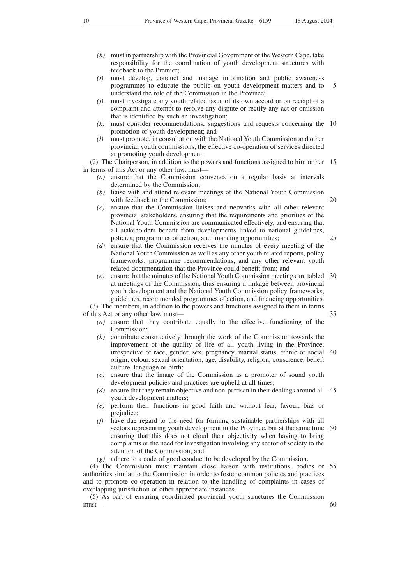- *(h)* must in partnership with the Provincial Government of the Western Cape, take responsibility for the coordination of youth development structures with feedback to the Premier;
- *(i)* must develop, conduct and manage information and public awareness programmes to educate the public on youth development matters and to understand the role of the Commission in the Province; 5
- *(j)* must investigate any youth related issue of its own accord or on receipt of a complaint and attempt to resolve any dispute or rectify any act or omission that is identified by such an investigation;
- *(k)* must consider recommendations, suggestions and requests concerning the 10 promotion of youth development; and
- *(l)* must promote, in consultation with the National Youth Commission and other provincial youth commissions, the effective co-operation of services directed at promoting youth development.

(2) The Chairperson, in addition to the powers and functions assigned to him or her 15 in terms of this Act or any other law, must—

- *(a)* ensure that the Commission convenes on a regular basis at intervals determined by the Commission;
- liaise with and attend relevant meetings of the National Youth Commission with feedback to the Commission;
- *(c)* ensure that the Commission liaises and networks with all other relevant provincial stakeholders, ensuring that the requirements and priorities of the National Youth Commission are communicated effectively, and ensuring that all stakeholders benefit from developments linked to national guidelines, policies, programmes of action, and financing opportunities;
- *(d)* ensure that the Commission receives the minutes of every meeting of the National Youth Commission as well as any other youth related reports, policy frameworks, programme recommendations, and any other relevant youth related documentation that the Province could benefit from; and
- *(e)* ensure that the minutes of the National Youth Commission meetings are tabled 30 at meetings of the Commission, thus ensuring a linkage between provincial youth development and the National Youth Commission policy frameworks, guidelines, recommended programmes of action, and financing opportunities. (3) The members, in addition to the powers and functions assigned to them in terms

of this Act or any other law, must—

- *(a)* ensure that they contribute equally to the effective functioning of the Commission;
- *(b)* contribute constructively through the work of the Commission towards the improvement of the quality of life of all youth living in the Province, irrespective of race, gender, sex, pregnancy, marital status, ethnic or social 40 origin, colour, sexual orientation, age, disability, religion, conscience, belief, culture, language or birth;
- *(c)* ensure that the image of the Commission as a promoter of sound youth development policies and practices are upheld at all times;
- *(d)* ensure that they remain objective and non-partisan in their dealings around all 45 youth development matters;
- *(e)* perform their functions in good faith and without fear, favour, bias or prejudice;
- *(f)* have due regard to the need for forming sustainable partnerships with all sectors representing youth development in the Province, but at the same time 50 ensuring that this does not cloud their objectivity when having to bring complaints or the need for investigation involving any sector of society to the attention of the Commission; and
- *(g)* adhere to a code of good conduct to be developed by the Commission.

(4) The Commission must maintain close liaison with institutions, bodies or 55 authorities similar to the Commission in order to foster common policies and practices and to promote co-operation in relation to the handling of complaints in cases of overlapping jurisdiction or other appropriate instances.

(5) As part of ensuring coordinated provincial youth structures the Commission must—

35

20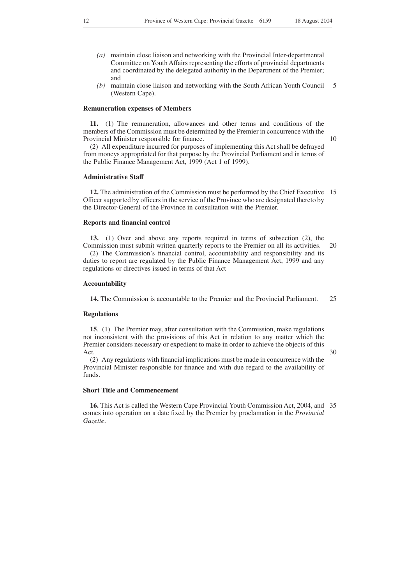- *(a)* maintain close liaison and networking with the Provincial Inter-departmental Committee on Youth Affairs representing the efforts of provincial departments and coordinated by the delegated authority in the Department of the Premier; and
- *(b)* maintain close liaison and networking with the South African Youth Council (Western Cape). 5

#### **Remuneration expenses of Members**

**11.** (1) The remuneration, allowances and other terms and conditions of the members of the Commission must be determined by the Premier in concurrence with the Provincial Minister responsible for finance.

(2) All expenditure incurred for purposes of implementing this Act shall be defrayed from moneys appropriated for that purpose by the Provincial Parliament and in terms of the Public Finance Management Act, 1999 (Act 1 of 1999).

#### **Administrative Staff**

**12.** The administration of the Commission must be performed by the Chief Executive 15 Officer supported by officers in the service of the Province who are designated thereto by the Director-General of the Province in consultation with the Premier.

#### **Reports and financial control**

**13.** (1) Over and above any reports required in terms of subsection (2), the

Commission must submit written quarterly reports to the Premier on all its activities. (2) The Commission's financial control, accountability and responsibility and its duties to report are regulated by the Public Finance Management Act, 1999 and any regulations or directives issued in terms of that Act 20

#### **Accountability**

**14.** The Commission is accountable to the Premier and the Provincial Parliament. 25

### **Regulations**

**15**. (1) The Premier may, after consultation with the Commission, make regulations not inconsistent with the provisions of this Act in relation to any matter which the Premier considers necessary or expedient to make in order to achieve the objects of this Act.

30

(2) Any regulations with financial implications must be made in concurrence with the Provincial Minister responsible for finance and with due regard to the availability of funds.

# **Short Title and Commencement**

**16.** This Act is called the Western Cape Provincial Youth Commission Act, 2004, and 35comes into operation on a date fixed by the Premier by proclamation in the *Provincial Gazette*.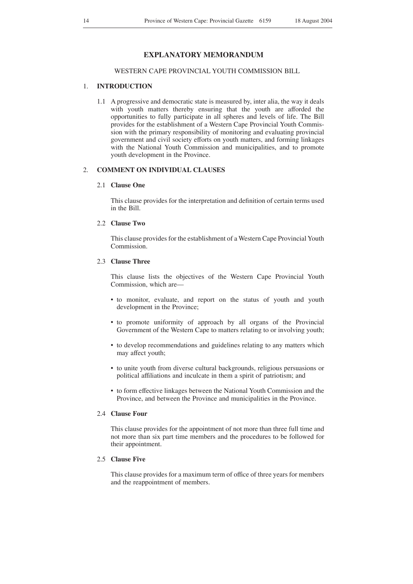# **EXPLANATORY MEMORANDUM**

# WESTERN CAPE PROVINCIAL YOUTH COMMISSION BILL

# 1. **INTRODUCTION**

1.1 A progressive and democratic state is measured by, inter alia, the way it deals with youth matters thereby ensuring that the youth are afforded the opportunities to fully participate in all spheres and levels of life. The Bill provides for the establishment of a Western Cape Provincial Youth Commission with the primary responsibility of monitoring and evaluating provincial government and civil society efforts on youth matters, and forming linkages with the National Youth Commission and municipalities, and to promote youth development in the Province.

# 2. **COMMENT ON INDIVIDUAL CLAUSES**

# 2.1 **Clause One**

This clause provides for the interpretation and definition of certain terms used in the Bill.

# 2.2 **Clause Two**

This clause provides for the establishment of a Western Cape Provincial Youth Commission.

# 2.3 **Clause Three**

This clause lists the objectives of the Western Cape Provincial Youth Commission, which are—

- to monitor, evaluate, and report on the status of youth and youth development in the Province;
- to promote uniformity of approach by all organs of the Provincial Government of the Western Cape to matters relating to or involving youth;
- to develop recommendations and guidelines relating to any matters which may affect youth;
- to unite youth from diverse cultural backgrounds, religious persuasions or political affiliations and inculcate in them a spirit of patriotism; and
- to form effective linkages between the National Youth Commission and the Province, and between the Province and municipalities in the Province.

#### 2.4 **Clause Four**

This clause provides for the appointment of not more than three full time and not more than six part time members and the procedures to be followed for their appointment.

# 2.5 **Clause Five**

This clause provides for a maximum term of office of three years for members and the reappointment of members.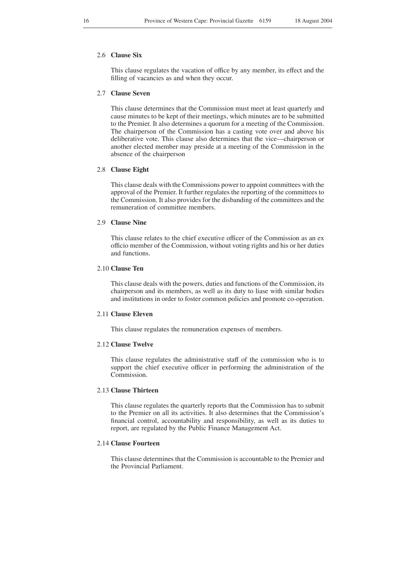# 2.6 **Clause Six**

This clause regulates the vacation of office by any member, its effect and the filling of vacancies as and when they occur.

#### 2.7 **Clause Seven**

This clause determines that the Commission must meet at least quarterly and cause minutes to be kept of their meetings, which minutes are to be submitted to the Premier. It also determines a quorum for a meeting of the Commission. The chairperson of the Commission has a casting vote over and above his deliberative vote. This clause also determines that the vice—chairperson or another elected member may preside at a meeting of the Commission in the absence of the chairperson

#### 2.8 **Clause Eight**

This clause deals with the Commissions power to appoint committees with the approval of the Premier. It further regulates the reporting of the committees to the Commission. It also provides for the disbanding of the committees and the remuneration of committee members.

# 2.9 **Clause Nine**

This clause relates to the chief executive officer of the Commission as an ex officio member of the Commission, without voting rights and his or her duties and functions.

# 2.10 **Clause Ten**

This clause deals with the powers, duties and functions of the Commission, its chairperson and its members, as well as its duty to liase with similar bodies and institutions in order to foster common policies and promote co-operation.

# 2.11 **Clause Eleven**

This clause regulates the remuneration expenses of members.

# 2.12 **Clause Twelve**

This clause regulates the administrative staff of the commission who is to support the chief executive officer in performing the administration of the Commission.

# 2.13 **Clause Thirteen**

This clause regulates the quarterly reports that the Commission has to submit to the Premier on all its activities. It also determines that the Commission's financial control, accountability and responsibility, as well as its duties to report, are regulated by the Public Finance Management Act.

### 2.14 **Clause Fourteen**

This clause determines that the Commission is accountable to the Premier and the Provincial Parliament.